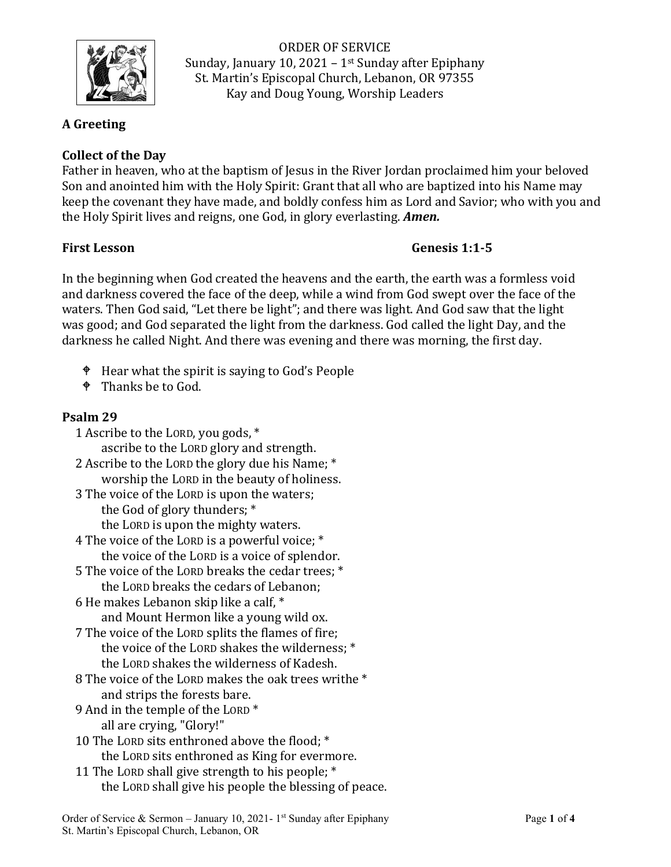

ORDER OF SERVICE Sunday, January 10, 2021 – 1 $st$  Sunday after Epiphany St. Martin's Episcopal Church, Lebanon, OR 97355 Kay and Doug Young, Worship Leaders

### **A Greeting**

## **Collect of the Day**

Father in heaven, who at the baptism of Jesus in the River Jordan proclaimed him your beloved Son and anointed him with the Holy Spirit: Grant that all who are baptized into his Name may keep the covenant they have made, and boldly confess him as Lord and Savior; who with you and the Holy Spirit lives and reigns, one God, in glory everlasting. *Amen.*

### **First Lesson Genesis 1:1-5**

In the beginning when God created the heavens and the earth, the earth was a formless void and darkness covered the face of the deep, while a wind from God swept over the face of the waters. Then God said, "Let there be light"; and there was light. And God saw that the light was good; and God separated the light from the darkness. God called the light Day, and the darkness he called Night. And there was evening and there was morning, the first day.

- Hear what the spirit is saying to God's People
- <sup> $\bullet$ </sup> Thanks be to God.

### **Psalm 29**

- 1 Ascribe to the LORD, you gods, \* ascribe to the LORD glory and strength.
- 2 Ascribe to the LORD the glory due his Name; \* worship the LORD in the beauty of holiness.
- 3 The voice of the LORD is upon the waters; the God of glory thunders; \* the LORD is upon the mighty waters.
- 4 The voice of the LORD is a powerful voice; \* the voice of the LORD is a voice of splendor.
- 5 The voice of the LORD breaks the cedar trees; \* the LORD breaks the cedars of Lebanon;
- 6 He makes Lebanon skip like a calf, \* and Mount Hermon like a young wild ox.
- 7 The voice of the LORD splits the flames of fire; the voice of the LORD shakes the wilderness; \* the LORD shakes the wilderness of Kadesh.
- 8 The voice of the LORD makes the oak trees writhe \* and strips the forests bare.
- 9 And in the temple of the LORD \* all are crying, "Glory!"
- 10 The LORD sits enthroned above the flood; \* the LORD sits enthroned as King for evermore.
- 11 The LORD shall give strength to his people; \* the LORD shall give his people the blessing of peace.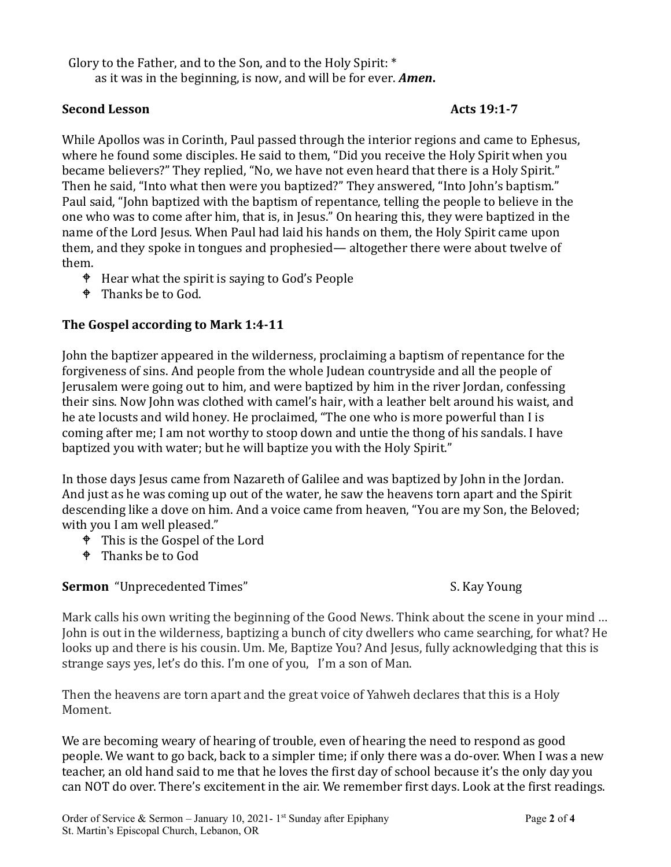Glory to the Father, and to the Son, and to the Holy Spirit: \*

as it was in the beginning, is now, and will be for ever. *Amen***.**

### **Second Lesson** Acts 19:1-7

While Apollos was in Corinth, Paul passed through the interior regions and came to Ephesus, where he found some disciples. He said to them, "Did you receive the Holy Spirit when you became believers?" They replied, "No, we have not even heard that there is a Holy Spirit." Then he said, "Into what then were you baptized?" They answered, "Into John's baptism." Paul said, "John baptized with the baptism of repentance, telling the people to believe in the one who was to come after him, that is, in Jesus." On hearing this, they were baptized in the name of the Lord Jesus. When Paul had laid his hands on them, the Holy Spirit came upon them, and they spoke in tongues and prophesied— altogether there were about twelve of them.

- Hear what the spirit is saying to God's People
- <sup> $\bullet$ </sup> Thanks be to God.

## **The Gospel according to Mark 1:4-11**

John the baptizer appeared in the wilderness, proclaiming a baptism of repentance for the forgiveness of sins. And people from the whole Judean countryside and all the people of Jerusalem were going out to him, and were baptized by him in the river Jordan, confessing their sins. Now John was clothed with camel's hair, with a leather belt around his waist, and he ate locusts and wild honey. He proclaimed, "The one who is more powerful than I is coming after me; I am not worthy to stoop down and untie the thong of his sandals. I have baptized you with water; but he will baptize you with the Holy Spirit."

In those days Jesus came from Nazareth of Galilee and was baptized by John in the Jordan. And just as he was coming up out of the water, he saw the heavens torn apart and the Spirit descending like a dove on him. And a voice came from heaven, "You are my Son, the Beloved; with you I am well pleased."

- <sup> $\bullet$ </sup> This is the Gospel of the Lord
- <sup> $\bullet$ </sup> Thanks be to God

**Sermon** "Unprecedented Times" S. Kay Young

Mark calls his own writing the beginning of the Good News. Think about the scene in your mind … John is out in the wilderness, baptizing a bunch of city dwellers who came searching, for what? He looks up and there is his cousin. Um. Me, Baptize You? And Jesus, fully acknowledging that this is strange says yes, let's do this. I'm one of you, I'm a son of Man.

Then the heavens are torn apart and the great voice of Yahweh declares that this is a Holy Moment.

We are becoming weary of hearing of trouble, even of hearing the need to respond as good people. We want to go back, back to a simpler time; if only there was a do-over. When I was a new teacher, an old hand said to me that he loves the first day of school because it's the only day you can NOT do over. There's excitement in the air. We remember first days. Look at the first readings.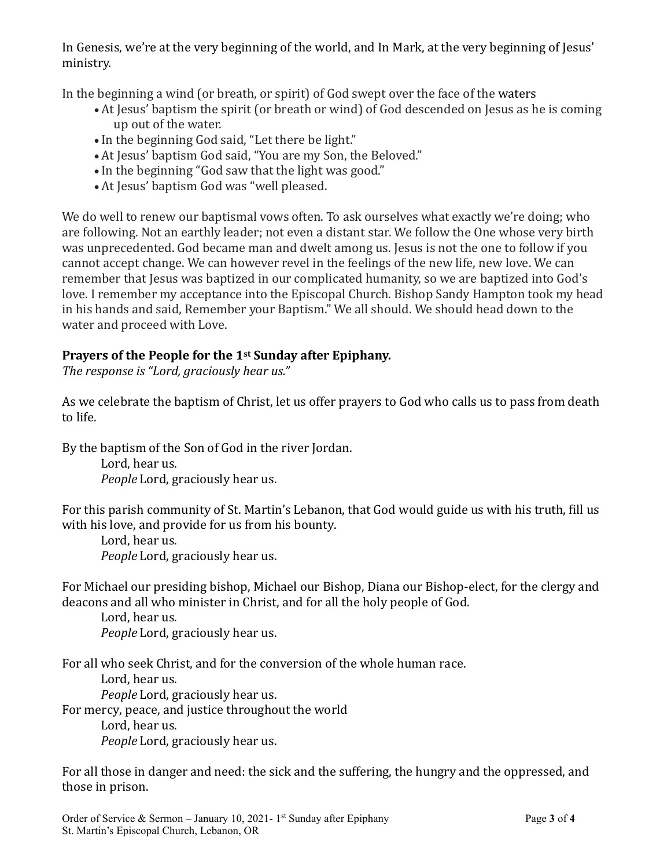In Genesis, we're at the very beginning of the world, and In Mark, at the very beginning of Jesus' ministry.

In the beginning a wind (or breath, or spirit) of God swept over the face of the waters

- At Jesus' baptism the spirit (or breath or wind) of God descended on Jesus as he is coming up out of the water.
- In the beginning God said, "Let there be light."
- At Jesus' baptism God said, "You are my Son, the Beloved."
- In the beginning "God saw that the light was good."
- At Jesus' baptism God was "well pleased.

We do well to renew our baptismal vows often. To ask ourselves what exactly we're doing; who are following. Not an earthly leader; not even a distant star. We follow the One whose very birth was unprecedented. God became man and dwelt among us. Jesus is not the one to follow if you cannot accept change. We can however revel in the feelings of the new life, new love. We can remember that Jesus was baptized in our complicated humanity, so we are baptized into God's love. I remember my acceptance into the Episcopal Church. Bishop Sandy Hampton took my head in his hands and said, Remember your Baptism." We all should. We should head down to the water and proceed with Love.

## **Prayers of the People for the 1st Sunday after Epiphany.**

*The response is "Lord, graciously hear us."*

As we celebrate the baptism of Christ, let us offer prayers to God who calls us to pass from death to life.

By the baptism of the Son of God in the river Jordan.

Lord, hear us. *People* Lord, graciously hear us.

For this parish community of St. Martin's Lebanon, that God would guide us with his truth, fill us with his love, and provide for us from his bounty.

Lord, hear us. *People* Lord, graciously hear us.

For Michael our presiding bishop, Michael our Bishop, Diana our Bishop-elect, for the clergy and deacons and all who minister in Christ, and for all the holy people of God.

Lord, hear us. *People* Lord, graciously hear us.

For all who seek Christ, and for the conversion of the whole human race. Lord, hear us. *People* Lord, graciously hear us. For mercy, peace, and justice throughout the world Lord, hear us. *People* Lord, graciously hear us.

For all those in danger and need: the sick and the suffering, the hungry and the oppressed, and those in prison.